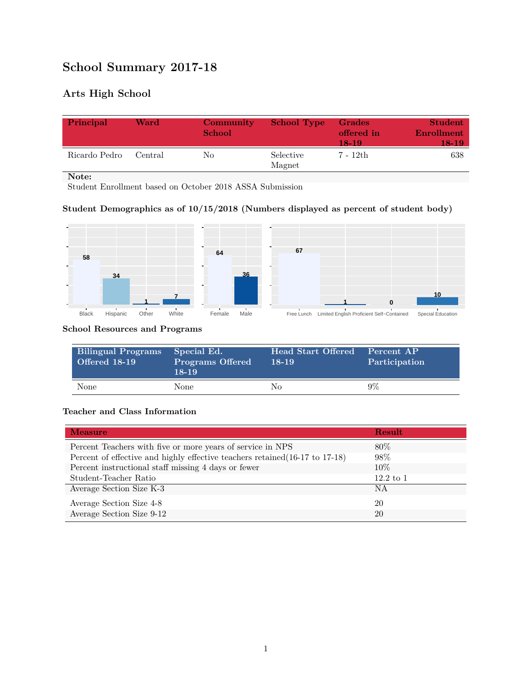# **School Summary 2017-18**

## **Arts High School**

| Principal     | Ward    | Community<br><b>School</b> | <b>School Type</b>  | Grades<br>offered in<br>18-19 | <b>Student</b><br>Enrollment<br><b>TR-19</b> |
|---------------|---------|----------------------------|---------------------|-------------------------------|----------------------------------------------|
| Ricardo Pedro | Central | No                         | Selective<br>Magnet | 7 - 12th                      | 638                                          |

**Note:**

Student Enrollment based on October 2018 ASSA Submission

### **Student Demographics as of 10/15/2018 (Numbers displayed as percent of student body)**



#### **School Resources and Programs**

| <b>Bilingual Programs</b><br><b>Offered 18-19</b> | Special Ed.<br><b>Programs Offered</b><br>$18-19$ | Head Start Offered<br>18-19 | Percent AP<br>Participation |
|---------------------------------------------------|---------------------------------------------------|-----------------------------|-----------------------------|
| None                                              | None                                              | Nο                          | 9%                          |

#### **Teacher and Class Information**

| <b>Measure</b>                                                               | Result               |
|------------------------------------------------------------------------------|----------------------|
| Percent Teachers with five or more years of service in NPS                   | $80\%$               |
| Percent of effective and highly effective teachers retained (16-17 to 17-18) | 98\%                 |
| Percent instructional staff missing 4 days or fewer                          | 10%                  |
| Student-Teacher Ratio                                                        | $12.2 \text{ to } 1$ |
| Average Section Size K-3                                                     | <b>NA</b>            |
| Average Section Size 4-8                                                     | 20                   |
| Average Section Size 9-12                                                    | 20                   |